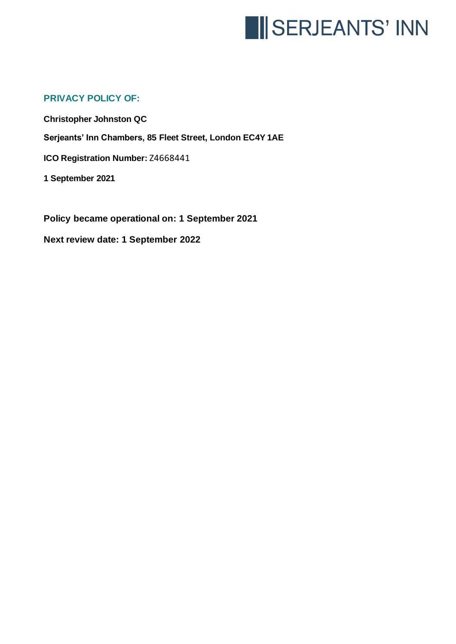

# **PRIVACY POLICY OF:**

**Christopher Johnston QC Serjeants' Inn Chambers, 85 Fleet Street, London EC4Y 1AE ICO Registration Number:** Z4668441 **1 September 2021**

**Policy became operational on: 1 September 2021**

**Next review date: 1 September 2022**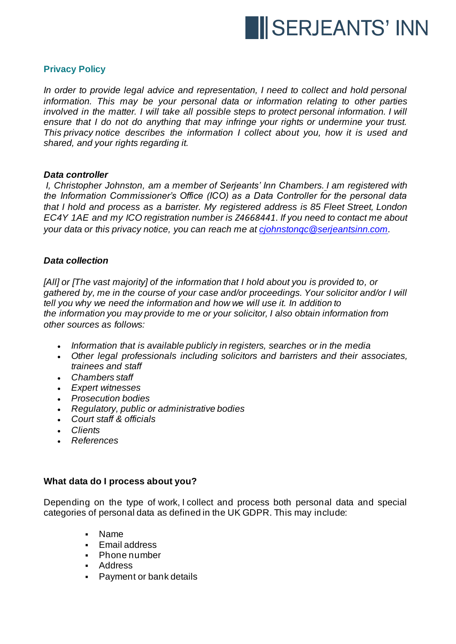

# **Privacy Policy**

*In order to provide legal advice and representation, I need to collect and hold personal information. This may be your personal data or information relating to other parties involved in the matter. I will take all possible steps to protect personal information. I will ensure that I do not do anything that may infringe your rights or undermine your trust. This privacy notice describes the information I collect about you, how it is used and shared, and your rights regarding it.*

#### *Data controller*

*I, Christopher Johnston, am a member of Serjeants' Inn Chambers. I am registered with the Information Commissioner's Office (ICO) as a Data Controller for the personal data that I hold and process as a barrister. My registered address is 85 Fleet Street, London EC4Y 1AE and my ICO registration number is Z4668441. If you need to contact me about your data or this privacy notice, you can reach me at [cjohnstonqc@serjeantsinn.com.](mailto:cjohnstonqc@serjeantsinn.com)*

### *Data collection*

*[All] or [The vast majority] of the information that I hold about you is provided to, or gathered by, me in the course of your case and/or proceedings. Your solicitor and/or I will tell you why we need the information and how we will use it. In addition to the information you may provide to me or your solicitor, I also obtain information from other sources as follows:*

- *Information that is available publicly in registers, searches or in the media*
- *Other legal professionals including solicitors and barristers and their associates, trainees and staff*
- *Chambers staff*
- *Expert witnesses*
- *Prosecution bodies*
- *Regulatory, public or administrative bodies*
- *Court staff & officials*
- *Clients*
- *References*

# **What data do I process about you?**

Depending on the type of work, I collect and process both personal data and special categories of personal data as defined in the UK GDPR. This may include:

- Name
- Email address
- Phone number
- Address
- **•** Payment or bank details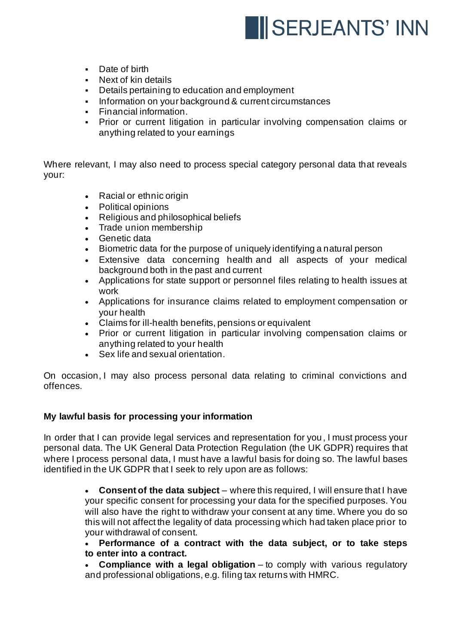

- Date of birth
- Next of kin details<br>• Details pertaining
- Details pertaining to education and employment
- **•** Information on your background & current circumstances
- Financial information.
- **Prior or current litigation in particular involving compensation claims or** anything related to your earnings

Where relevant, I may also need to process special category personal data that reveals your:

- Racial or ethnic origin
- Political opinions
- Religious and philosophical beliefs
- Trade union membership
- Genetic data
- Biometric data for the purpose of uniquely identifying a natural person
- Extensive data concerning health and all aspects of your medical background both in the past and current
- Applications for state support or personnel files relating to health issues at work
- Applications for insurance claims related to employment compensation or your health
- Claims for ill-health benefits, pensions or equivalent
- Prior or current litigation in particular involving compensation claims or anything related to your health
- Sex life and sexual orientation.

On occasion, I may also process personal data relating to criminal convictions and offences.

# **My lawful basis for processing your information**

In order that I can provide legal services and representation for you, I must process your personal data. The UK General Data Protection Regulation (the UK GDPR) requires that where I process personal data, I must have a lawful basis for doing so. The lawful bases identified in the UK GDPR that I seek to rely upon are as follows:

> • **Consent of the data subject** – where this required, I will ensure that I have your specific consent for processing your data for the specified purposes. You will also have the right to withdraw your consent at any time. Where you do so this will not affect the legality of data processing which had taken place prior to your withdrawal of consent.

> • **Performance of a contract with the data subject, or to take steps to enter into a contract.**

> • **Compliance with a legal obligation** – to comply with various regulatory and professional obligations, e.g. filing tax returns with HMRC.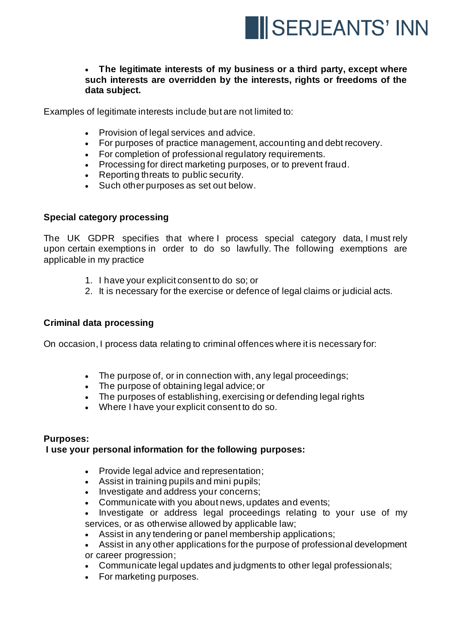

# • **The legitimate interests of my business or a third party, except where such interests are overridden by the interests, rights or freedoms of the data subject.**

Examples of legitimate interests include but are not limited to:

- Provision of legal services and advice.
- For purposes of practice management, accounting and debt recovery.
- For completion of professional regulatory requirements.
- Processing for direct marketing purposes, or to prevent fraud.
- Reporting threats to public security.
- Such other purposes as set out below.

### **Special category processing**

The UK GDPR specifies that where I process special category data, I must rely upon certain exemptions in order to do so lawfully. The following exemptions are applicable in my practice

- 1. I have your explicit consent to do so; or
- 2. It is necessary for the exercise or defence of legal claims or judicial acts.

#### **Criminal data processing**

On occasion, I process data relating to criminal offences where it is necessary for:

- The purpose of, or in connection with, any legal proceedings;
- The purpose of obtaining legal advice; or
- The purposes of establishing, exercising or defending legal rights
- Where I have your explicit consent to do so.

# **Purposes:**

# **I use your personal information for the following purposes:**

- Provide legal advice and representation;
- Assist in training pupils and mini pupils;
- Investigate and address your concerns;
- Communicate with you about news, updates and events;
- Investigate or address legal proceedings relating to your use of my services, or as otherwise allowed by applicable law;
- Assist in any tendering or panel membership applications;
- Assist in any other applications for the purpose of professional development or career progression;
- Communicate legal updates and judgments to other legal professionals;
- For marketing purposes.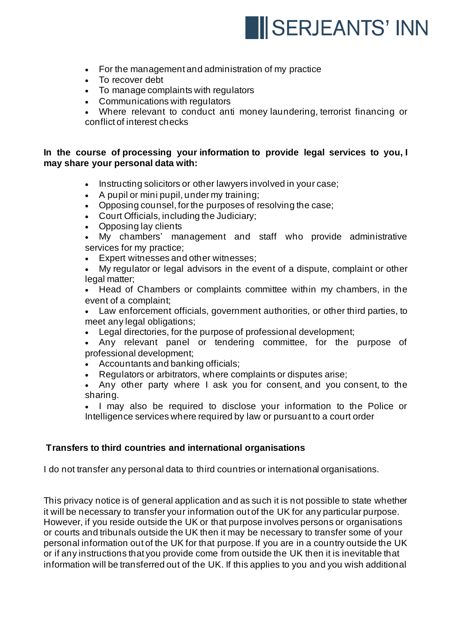

- For the management and administration of my practice
- To recover debt
- To manage complaints with regulators
- Communications with regulators
- Where relevant to conduct anti money laundering, terrorist financing or conflict of interest checks

# **In the course of processing your information to provide legal services to you, I may share your personal data with:**

- Instructing solicitors or other lawyers involved in your case;
- A pupil or mini pupil, under my training;
- Opposing counsel, for the purposes of resolving the case;
- Court Officials, including the Judiciary;
- Opposing lay clients
- My chambers' management and staff who provide administrative services for my practice;
- Expert witnesses and other witnesses;
- My regulator or legal advisors in the event of a dispute, complaint or other legal matter;
- Head of Chambers or complaints committee within my chambers, in the event of a complaint;

• Law enforcement officials, government authorities, or other third parties, to meet any legal obligations;

- Legal directories, for the purpose of professional development;
- Any relevant panel or tendering committee, for the purpose of professional development;
- Accountants and banking officials;
- Regulators or arbitrators, where complaints or disputes arise;
- Any other party where I ask you for consent, and you consent, to the sharing.

• I may also be required to disclose your information to the Police or Intelligence services where required by law or pursuant to a court order

# **Transfers to third countries and international organisations**

I do not transfer any personal data to third countries or international organisations.

This privacy notice is of general application and as such it is not possible to state whether it will be necessary to transfer your information out of the UK for any particular purpose. However, if you reside outside the UK or that purpose involves persons or organisations or courts and tribunals outside the UK then it may be necessary to transfer some of your personal information out of the UK for that purpose. If you are in a country outside the UK or if any instructions that you provide come from outside the UK then it is inevitable that information will be transferred out of the UK. If this applies to you and you wish additional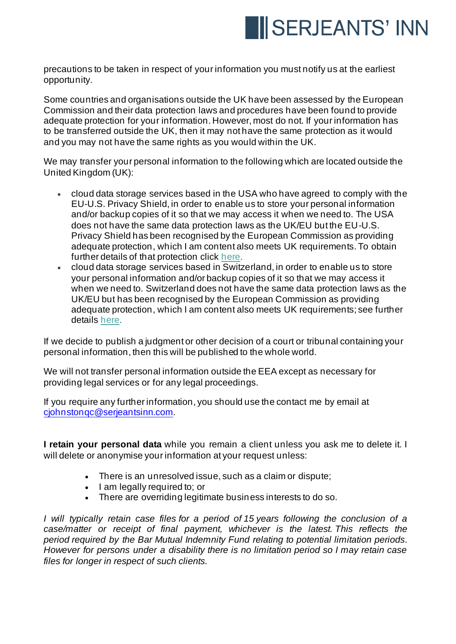

precautions to be taken in respect of your information you must notify us at the earliest opportunity.

Some countries and organisations outside the UK have been assessed by the European Commission and their data protection laws and procedures have been found to provide adequate protection for your information. However, most do not. If your information has to be transferred outside the UK, then it may not have the same protection as it would and you may not have the same rights as you would within the UK.

We may transfer your personal information to the following which are located outside the United Kingdom (UK):

- cloud data storage services based in the USA who have agreed to comply with the EU-U.S. Privacy Shield, in order to enable us to store your personal information and/or backup copies of it so that we may access it when we need to. The USA does not have the same data protection laws as the UK/EU but the EU-U.S. Privacy Shield has been recognised by the European Commission as providing adequate protection, which I am content also meets UK requirements. To obtain further details of that protection click [here.](https://ec.europa.eu/info/law/law-topic/data-protection/data-transfers-outside-eu/eu-us-privacy-shield_en)
- cloud data storage services based in Switzerland, in order to enable us to store your personal information and/or backup copies of it so that we may access it when we need to. Switzerland does not have the same data protection laws as the UK/EU but has been recognised by the European Commission as providing adequate protection, which I am content also meets UK requirements; see further details [here.](https://ec.europa.eu/info/law/law-topic/data-protection/data-transfers-outside-eu/adequacy-protection-personal-data-non-eu-countries_en)

If we decide to publish a judgment or other decision of a court or tribunal containing your personal information, then this will be published to the whole world.

We will not transfer personal information outside the EEA except as necessary for providing legal services or for any legal proceedings.

If you require any further information, you should use the contact me by email at [cjohnstonqc@serjeantsinn.com](mailto:cjohnstonqc@serjeantsinn.com).

**I retain your personal data** while you remain a client unless you ask me to delete it. I will delete or anonymise your information at your request unless:

- There is an unresolved issue, such as a claim or dispute;
- I am legally required to; or
- There are overriding legitimate business interests to do so.

*I will typically retain case files for a period of 15 years following the conclusion of a case/matter or receipt of final payment, whichever is the latest. This reflects the period required by the Bar Mutual Indemnity Fund relating to potential limitation periods. However for persons under a disability there is no limitation period so I may retain case files for longer in respect of such clients.*